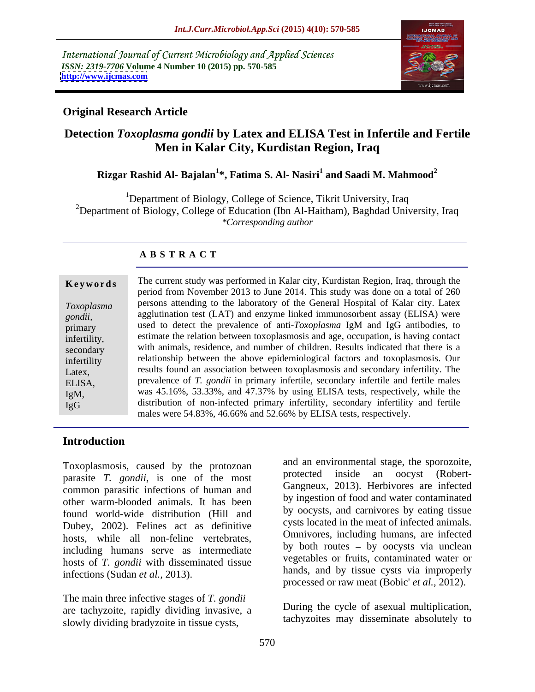International Journal of Current Microbiology and Applied Sciences *ISSN: 2319-7706* **Volume 4 Number 10 (2015) pp. 570-585 <http://www.ijcmas.com>**



### **Original Research Article**

## **Detection** *Toxoplasma gondii* **by Latex and ELISA Test in Infertile and Fertile Men in Kalar City, Kurdistan Region, Iraq**

## **Rizgar Rashid Al- Bajalan<sup>1</sup> \*, Fatima S. Al- Nasiri1 and Saadi M. Mahmood<sup>2</sup>**

<sup>1</sup>Department of Biology, College of Science, Tikrit University, Iraq <sup>2</sup>Department of Biology, College of Education (Ibn Al-Haitham), Baghdad University, Iraq *\*Corresponding author*

### **A B S T R A C T**

| Keywords     | The current study was performed in Kalar city, Kurdistan Region, Iraq, through the  |  |  |
|--------------|-------------------------------------------------------------------------------------|--|--|
|              | period from November 2013 to June 2014. This study was done on a total of 260       |  |  |
| Toxoplasma   | persons attending to the laboratory of the General Hospital of Kalar city. Latex    |  |  |
| gondii,      | agglutination test (LAT) and enzyme linked immunosorbent assay (ELISA) were         |  |  |
| primary      | used to detect the prevalence of anti-Toxoplasma IgM and IgG antibodies, to         |  |  |
| infertility, | estimate the relation between toxoplasmosis and age, occupation, is having contact  |  |  |
| secondary    | with animals, residence, and number of children. Results indicated that there is a  |  |  |
| infertility  | relationship between the above epidemiological factors and toxoplasmosis. Our       |  |  |
| Latex,       | results found an association between toxoplasmosis and secondary infertility. The   |  |  |
| ELISA,       | prevalence of T. gondii in primary infertile, secondary infertile and fertile males |  |  |
| $IgM$ ,      | was 45.16%, 53.33%, and 47.37% by using ELISA tests, respectively, while the        |  |  |
| IgG          | distribution of non-infected primary infertility, secondary infertility and fertile |  |  |
|              | males were 54.83%, 46.66% and 52.66% by ELISA tests, respectively.                  |  |  |

### **Introduction**

Toxoplasmosis, caused by the protozoan and an environmental stage, the sporozoite,<br>protected inside an oocyst (Robertparasite *T. gondii*, is one of the most common parasitic infections of human and other warm-blooded animals. It has been found world-wide distribution (Hill and Dubey, 2002). Felines act as definitive hosts, while all non-feline vertebrates, including humans serve as intermediate hosts of *T. gondii* with disseminated tissue infections (Sudan *et al.,* 2013).

The main three infective stages of *T. gondii* are tachyzoite, rapidly dividing invasive, a slowly dividing bradyzoite in tissue cysts,

and an environmental stage, the sporozoite, protected inside an oocyst (Robert- Gangneux, 2013). Herbivores are infected by ingestion of food and water contaminated by oocysts, and carnivores by eating tissue cysts located in the meat of infected animals. Omnivores, including humans, are infected by both routes  $-$  by oocysts via unclean vegetables or fruits, contaminated water or hands, and by tissue cysts via improperly processed or raw meat (Bobic' *et al.,* 2012).

During the cycle of asexual multiplication, tachyzoites may disseminate absolutely to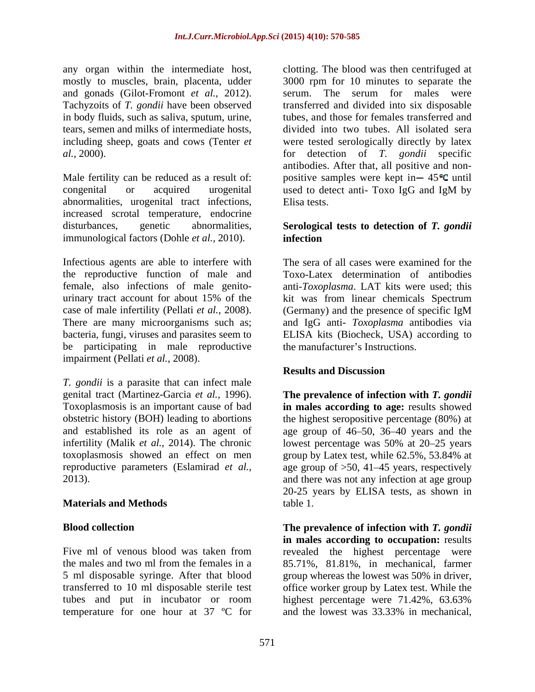any organ within the intermediate host, clotting. The blood was then centrifuged at and gonads (Gilot-Fromont *et al.,* 2012).

congenital or acquired urogenital abnormalities, urogenital tract infections, increased scrotal temperature, endocrine disturbances, genetic abnormalities, **Serological tests to detection of** *T. gondii* immunological factors (Dohle *et al.,* 2010).

Infectious agents are able to interfere with the reproductive function of male and female, also infections of male genito urinary tract account for about 15% of the kit was from linear chemicals Spectrum case of male infertility (Pellati *et al.,* 2008). There are many microorganisms such as; and IgG anti- *Toxoplasma* antibodies via bacteria, fungi, viruses and parasites seem to ELISA kits (Biocheck, USA) according to be participating in male reproductive impairment (Pellati *et al.,* 2008).

*T. gondii* is a parasite that can infect male genital tract (Martinez-Garcia *et al.*, 1996). genital tract (Martinez-Garcia *et al.,* 1996). **The prevalence of infection with** *T. gondii* Toxoplasmosis is an important cause of bad **in males according to age:** results showed obstetric history (BOH) leading to abortions the highest seropositive percentage (80%) at and established its role as an agent of age group of 46 50, 36 40 years and the infertility (Malik *et al.*, 2014). The chronic lowest percentage was 50% at 20–25 years toxoplasmosis showed an effect on men group by Latex test, while 62.5%, 53.84% at reproductive parameters (Eslamirad *et al.,* age group of >50, 41 45 years, respectively

Five ml of venous blood was taken from revealed the highest percentage were the males and two ml from the females in a 85.71%, 81.81%, in mechanical, farmer 5 ml disposable syringe. After that blood transferred to 10 ml disposable sterile test office worker group by Latex test. While the tubes and put in incubator or room highest percentage were 71.42%, 63.63% temperature for one hour at  $37 \text{ °C}$  for and the lowest was  $33.33\%$  in mechanical.

mostly to muscles, brain, placenta, udder 3000 rpm for 10 minutes to separate the Tachyzoits of *T. gondii* have been observed transferred and divided into six disposable in body fluids, such as saliva, sputum, urine, tubes, and those for females transferred and tears, semen and milks of intermediate hosts, divided into two tubes. All isolated sera including sheep, goats and cows (Tenter *et*  were tested serologically directly by latex *al.,* 2000). for detection of *T. gondii* specific Male fertility can be reduced as a result of: positive samples were kept in  $-$  45 $\degree$ C until serum. The serum for males were antibodies. After that, all positive and non used to detect anti- Toxo IgG and IgM by Elisa tests.

# **infection**

The sera of all cases were examined for the Toxo-Latex determination of antibodies anti-*Toxoplasma*. LAT kits were used; this (Germany) and the presence of specific IgM the manufacturer's Instructions.

### **Results and Discussion**

2013). and there was not any infection at age group **Materials and Methods** 20-25 years by ELISA tests, as shown in table 1.

**Blood collection The prevalence of infection with** *T. gondii* and the lowest was 33.33% in mechanical. **in males according to occupation:** results group whereas the lowest was 50% in driver, highest percentage were 71.42%, 63.63% and the lowest was 33.33% in mechanical,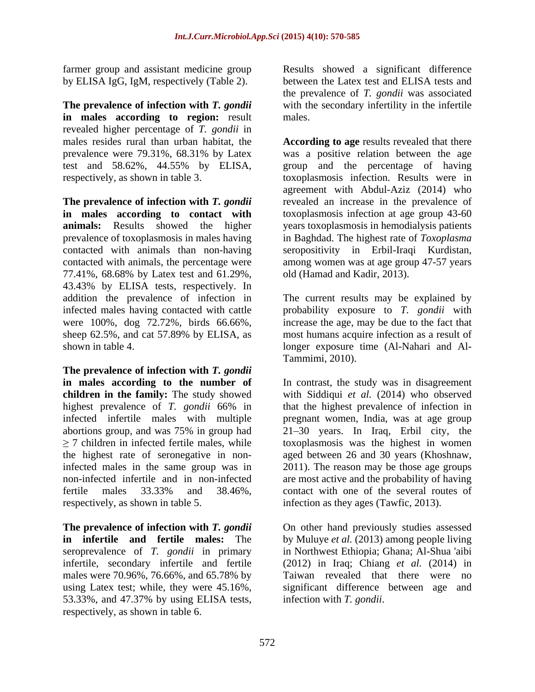**The prevalence of infection with** *T. gondii* with the secondary infertility in the infertile **in males according to region:** result revealed higher percentage of *T. gondii* in

77.41%, 68.68% by Latex test and 61.29%, 43.43% by ELISA tests, respectively. In

**The prevalence of infection with** *T. gondii* **in males according to the number of** respectively, as shown in table 5. infection as they ages (Tawfic, 2013).

males were 70.96%, 76.66%, and 65.78% by 53.33%, and 47.37% by using ELISA tests, respectively, as shown in table 6.

farmer group and assistant medicine group Results showed a significant difference by ELISA IgG, IgM, respectively (Table 2). between the Latex test and ELISA tests and the prevalence of *T. gondii* was associated males.

males resides rural than urban habitat, the **According to age** results revealed that there prevalence were 79.31%, 68.31% by Latex was a positive relation between the age test and 58.62%, 44.55% by ELISA, group and the percentage of having respectively, as shown in table 3. toxoplasmosis infection. Results were in **The prevalence** of **infection** with *T. gondii* revealed an increase in the prevalence of **in males according to contact with** toxoplasmosis infection at age group 43-60 **animals:** Results showed the higher years toxoplasmosis in hemodialysis patients prevalence of toxoplasmosis in males having in Baghdad. The highest rate of *Toxoplasma*  contacted with animals than non-having seropositivity in Erbil-Iraqi Kurdistan, contacted with animals, the percentage were among women was at age group 47-57 years agreement with Abdul-Aziz (2014) who old (Hamad and Kadir, 2013).

addition the prevalence of infection in The current results may be explained by infected males having contacted with cattle probability exposure to *T. gondii* with were 100%, dog 72.72%, birds 66.66%, increase the age, may be due to the fact that sheep 62.5%, and cat 57.89% by ELISA, as most humans acquire infection as a result of shown in table 4. longer exposure time (Al-Nahari and Al- Tammimi, 2010).

**children in the family:** The study showed with Siddiqui *et al.* (2014) who observed highest prevalence of *T. gondii* 66% in that the highest prevalence of infection in infected infertile males with multiple pregnant women, India, was at age group abortions group, and was 75% in group had 21 30 years. In Iraq, Erbil city, the 7 children in infected fertile males, while toxoplasmosis was the highest in women the highest rate of seronegative in non-aged between 26 and 30 years (Khoshnaw, infected males in the same group was in 2011). The reason may be those age groups non-infected infertile and in non-infected are most active and the probability of having fertile males 33.33% and 38.46%, In contrast, the study was in disagreement contact with one of the several routes of

**The prevalence of infection with** *T. gondii* On other hand previously studies assessed **in infertile and fertile males:** The by Muluye *et al.* (2013) among people living seroprevalence of *T. gondii* in primary in Northwest Ethiopia; Ghana; Al-Shua 'aibi infertile, secondary infertile and fertile (2012) in Iraq; Chiang *et al.* (2014) in using Latex test; while, they were 45.16%, significant difference between age and Taiwan revealed that there were no infection with *T. gondii*.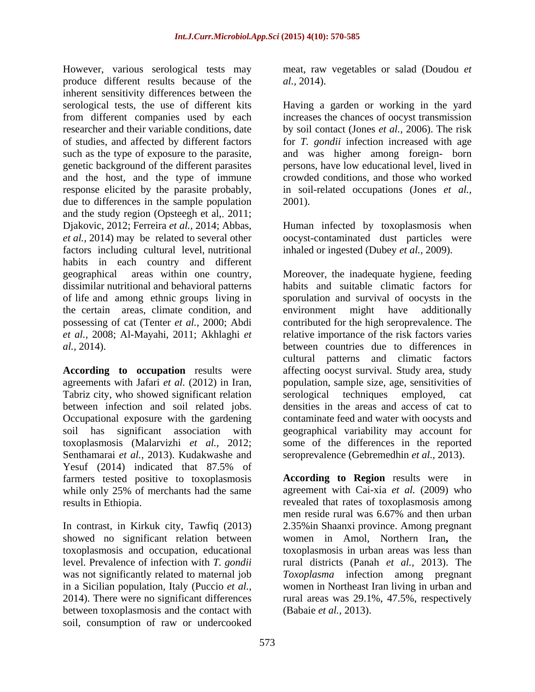However, various serological tests may produce different results because of the *al.*, 2014). inherent sensitivity differences between the serological tests, the use of different kits Having a garden or working in the yard from different companies used by each increases the chances of oocyst transmission researcher and their variable conditions, date by soil contact (Jones *et al.,* 2006). The risk of studies, and affected by different factors for *T. gondii* infection increased with age such as the type of exposure to the parasite, and was higher among foreign- born genetic background of the different parasites and the host, and the type of immune response elicited by the parasite probably, in soil-related occupations (Jones *et al.,* due to differences in the sample population 2001). and the study region (Opsteegh et al, 2011; Djakovic, 2012; Ferreira *et al.,* 2014; Abbas, Human infected by toxoplasmosis when *et al.,* 2014) may be related to several other oocyst-contaminated dust particles were factors including cultural level, nutritional inhaled or ingested (Dubey *et al.*, 2009).<br>habits in each country and different the certain areas, climate condition, and environment might have additionally

Tabriz city, who showed significant relation serological techniques employed, cat Senthamarai *et al.,* 2013). Kudakwashe and seroprevalence (Gebremedhin *et al.,* 2013). Yesuf (2014) indicated that 87.5% of farmers tested positive to toxoplasmosis **According to Region** results were in

In contrast, in Kirkuk city, Tawfiq (2013) between toxoplasmosis and the contact with soil, consumption of raw or undercooked

meat, raw vegetables or salad (Doudou *et al.,* 2014).

persons, have low educational level, lived in crowded conditions, and those who worked 2001).

inhaled or ingested (Dubey *et al.,* 2009).

geographical areas within one country, Moreover, the inadequate hygiene, feeding dissimilar nutritional and behavioral patterns habits and suitable climatic factors for of life and among ethnic groups living in sporulation and survival of oocysts in the possessing of cat (Tenter *et al.,* 2000; Abdi contributed for the high seroprevalence. The *et al.,* 2008; Al-Mayahi, 2011; Akhlaghi *et*  relative importance of the risk factors varies *al.,* 2014). between countries due to differences in **According to occupation** results were affecting oocyst survival. Study area, study agreements with Jafari *et al.* (2012) in Iran, population, sample size, age, sensitivities of between infection and soil related jobs. densities in the areas and access of cat to Occupational exposure with the gardening contaminate feed and water with oocysts and soil has significant association with geographical variability may account for toxoplasmosis (Malarvizhi *et al.,* 2012; some of the differences in the reported environment might have additionally cultural patterns and climatic factors serological techniques employed, cat

while only 25% of merchants had the same agreement with Cai-xia *et al.* (2009) who results in Ethiopia. revealed that rates of toxoplasmosis among showed no significant relation between women in Amol, Northern Iran**,** the toxoplasmosis and occupation, educational toxoplasmosis in urban areas was less than level. Prevalence of infection with *T. gondii* rural districts (Panah *et al.,* 2013). The was not significantly related to maternal job *Toxoplasma* infection among pregnant in a Sicilian population, Italy (Puccio *et al.,* women in Northeast Iran living in urban and 2014). There were no significant differences rural areas was 29.1%, 47.5%, respectively **According to Region** results were men reside rural was 6.67% and then urban 2.35%in Shaanxi province. Among pregnant (Babaie *et al.,* 2013).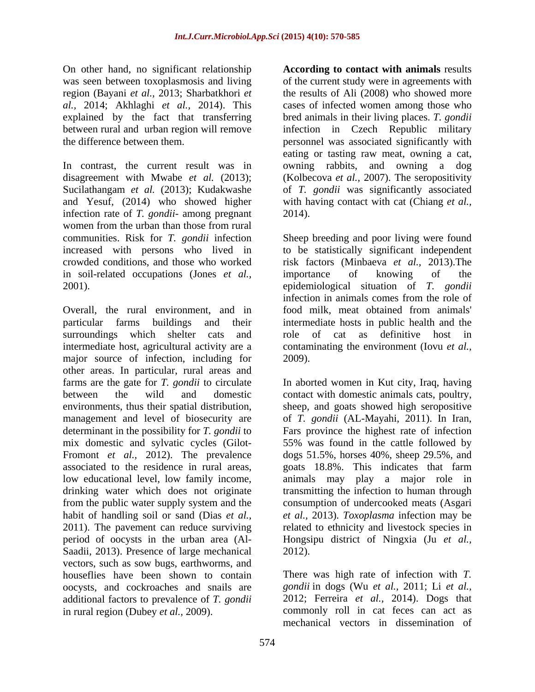On other hand, no significant relationship was seen between toxoplasmosis and living region (Bayani *et al.,* 2013; Sharbatkhori *et* 

In contrast, the current result was in owning rabbits, and owning a dog disagreement with Mwabe *et al.* (2013); (Kolbecova *et al.,* 2007). The seropositivity Sucilathangam *et al.* (2013); Kudakwashe of *T. gondii* was significantly associated and Yesuf, (2014) who showed higher with having contact with cat (Chiang *et al.,* infection rate of *T. gondii*- among pregnant women from the urban than those from rural communities. Risk for *T. gondii* infection Sheep breeding and poor living were found increased with persons who lived in to be statistically significant independent crowded conditions, and those who worked risk factors (Minbaeva *et al.,* 2013).The in soil-related occupations (Jones *et al.,* 2001). epidemiological situation of *T. gondii*

Overall, the rural environment, and in food milk, meat obtained from animals' particular farms buildings and their intermediate hosts in public health and the surroundings which shelter cats and role of cat as definitive host in intermediate host, agricultural activity are a contaminating the environment (Iovu *et al.,* major source of infection, including for 2009). other areas. In particular, rural areas and environments, thus their spatial distribution, mix domestic and sylvatic cycles (Gilot- Saadii, 2013). Presence of large mechanical 2012). vectors, such as sow bugs, earthworms, and houseflies have been shown to contain There was high rate of infection with *T.* oocysts, and cockroaches and snails are *gondii* in dogs (Wu *et al.,* 2011; Li *et al.,* additional factors to prevalence of *T. gondii* in rural region (Dubey *et al.,* 2009). commonly roll in cat feces can act as

*al.,* 2014; Akhlaghi *et al.,* 2014). This cases of infected women among those who explained by the fact that transferring bred animals in their living places. *T. gondii* between rural and urban region will remove infection in Czech Republic military the difference between them. personnel was associated significantly with **According to contact with animals** results of the current study were in agreements with the results of Ali (2008) who showed more eating or tasting raw meat, owning a cat, 2014).

> importance of knowing of the infection in animals comes from the role of food milk, meat obtained from animals' role of cat as definitive host in 2009).

farms are the gate for *T. gondii* to circulate In aborted women in Kut city, Iraq, having between the wild and domestic contact with domestic animals cats, poultry, management and level of biosecurity are of *T. gondii* (AL-Mayahi, 2011). In Iran, determinant in the possibility for *T. gondii* to Fars province the highest rate of infection Fromont *et al.,* 2012). The prevalence dogs 51.5%, horses 40%, sheep 29.5%, and associated to the residence in rural areas, goats 18.8%. This indicates that farm low educational level, low family income, animals may play a major role in drinking water which does not originate transmitting the infection to human through from the public water supply system and the consumption of undercooked meats (Asgari habit of handling soil or sand (Dias *et al., et al.,* 2013). *Toxoplasma* infection may be 2011). The pavement can reduce surviving related to ethnicity and livestock species in period of oocysts in the urban area (Al- Hongsipu district of Ningxia (Ju *et al.,* sheep, and goats showed high seropositive 55% was found in the cattle followed by 2012).

> 2012; Ferreira *et al.,* 2014). Dogs that mechanical vectors in dissemination of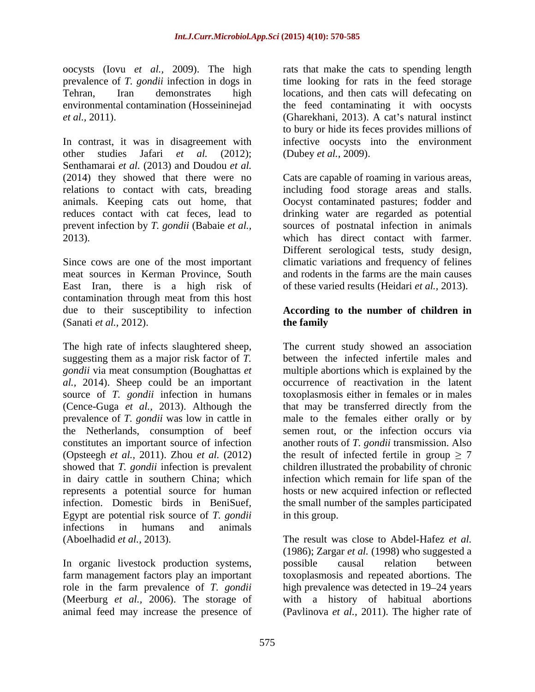oocysts (Iovu *et al.,* 2009). The high

In contrast, it was in disagreement with infective oocysts into the environment other studies Jafari *et al.* (2012); (Dubey *et al.,* 2009). Senthamarai *et al.* (2013) and Doudou *et al.* (2014) they showed that there were no Cats are capable of roaming in various areas, relations to contact with cats, breading including food storage areas and stalls. animals. Keeping cats out home, that Oocyst contaminated pastures; fodder and reduces contact with cat feces, lead to drinking water are regarded as potential prevent infection by *T. gondii* (Babaie *et al.,* sources of postnatal infection in animals 2013). which has direct contact with farmer.

meat sources in Kerman Province, South East Iran, there is a high risk of contamination through meat from this host due to their susceptibility to infection **According to the number of children in** (Sanati *et al.*, 2012). **the family** 

The high rate of infects slaughtered sheep, The current study showed an association suggesting them as a major risk factor of *T. gondii* via meat consumption (Boughattas *et*  multiple abortions which is explained by the *al.,* 2014). Sheep could be an important source of *T. gondii* infection in humans (Cence-Guga *et al.*, 2013). Although the (Cence-Guga *et al.,* 2013). Although the that may be transferred directly from the prevalence of *T. gondii* was low in cattle in male to the females either orally or by the Netherlands, consumption of beef semen rout, or the infection occurs via constitutes an important source of infection another routs of *T. gondii* transmission. Also (Opsteegh *et al.,* 2011). Zhou *et al.* (2012) showed that *T. gondii* infection is prevalent children illustrated the probability of chronic in dairy cattle in southern China; which represents a potential source for human hosts or new acquired infection or reflected infection. Domestic birds in BeniSuef, the small number of the samples participated Egypt are potential risk source of *T. gondii* infections in humans and animals (Aboelhadid *et al.,* 2013). The result was close to Abdel-Hafez *et al.*

In organic livestock production systems, possible causal relation between farm management factors play an important (Meerburg *et al.*, 2006). The storage of animal feed may increase the presence of

prevalence of *T. gondii* infection in dogs in time looking for rats in the feed storage Tehran, Iran demonstrates high locations, and then cats will defecating on environmental contamination (Hosseininejad the feed contaminating it with oocysts *et al.*, 2011). (Gharekhani, 2013). A cat's natural instinct rats that make the cats to spending length to bury or hide its feces provides millions of

Since cows are one of the most important climatic variations and frequency of felines Different serological tests, study design, and rodents in the farms are the main causes of these varied results (Heidari *et al.,* 2013).

# **the family**

between the infected infertile males and occurrence of reactivation in the latent toxoplasmosis either in females or in males the result of infected fertile in group  $\geq 7$ infection which remain for life span of the in this group.

role in the farm prevalence of *T. gondii* high prevalence was detected in 19–24 years animal feed may increase the presence of (Pavlinova *et al.,* 2011). The higher rate of (1986); Zargar *et al.* (1998) who suggested a possible causal relation between toxoplasmosis and repeated abortions. The with a history of habitual abortions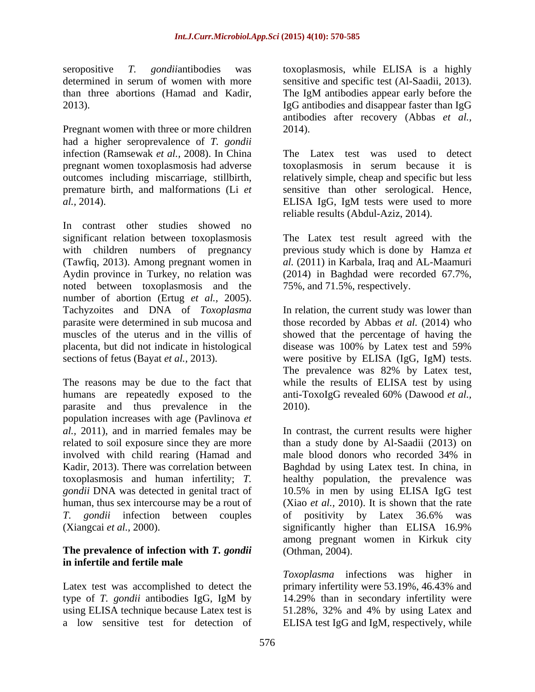Pregnant women with three or more children 2014). had a higher seroprevalence of *T. gondii* infection (Ramsewak *et al.,* 2008). In China *al.*, 2014). ELISA IgG, IgM tests were used to more

In contrast other studies showed no significant relation between toxoplasmosis The Latex test result agreed with the with children numbers of pregnancy previous study which is done by Hamza *et*  (Tawfiq, 2013). Among pregnant women in *al.* (2011) in Karbala, Iraq and AL-Maamuri Aydin province in Turkey, no relation was (2014) in Baghdad were recorded 67.7%, noted between toxoplasmosis and the number of abortion (Ertug *et al.,* 2005). Tachyzoites and DNA of *Toxoplasma* In relation, the current study was lower than parasite were determined in sub mucosa and those recorded by Abbas *et al.* (2014) who muscles of the uterus and in the villis of showed that the percentage of having the placenta, but did not indicate in histological sections of fetus (Bayat *et al.,* 2013). were positive by ELISA (IgG, IgM) tests.

humans are repeatedly exposed to the anti-ToxoIgG revealed 60% (Dawood et al., parasite and thus prevalence in the 2010). population increases with age (Pavlinova *et al.,* 2011), and in married females may be involved with child rearing (Hamad and male blood donors who recorded 34% in *T. gondii* infection between couples (Xiangcai *et al.*, 2000). significantly higher than ELISA 16.9%

### **The prevalence of infection with** *T. gondii* **in infertile and fertile male**

seropositive *T. gondii*antibodies was toxoplasmosis, while ELISA is a highly determined in serum of women with more sensitive and specific test (Al-Saadii, 2013). than three abortions (Hamad and Kadir, The IgM antibodies appear early before the 2013). IgG antibodies and disappear faster than IgG antibodies after recovery (Abbas *et al.*, 2014).

pregnant women toxoplasmosis had adverse toxoplasmosis in serum because it is outcomes including miscarriage, stillbirth, relatively simple, cheap and specific but less premature birth, and malformations (Li *et*  sensitive than other serological. Hence, The Latex test was used to detect ELISA IgG, IgM tests were used to more reliable results (Abdul-Aziz, 2014).

75%, and 71.5%, respectively.

The reasons may be due to the fact that while the results of ELISA test by using disease was 100% by Latex test and 59% The prevalence was 82% by Latex test, anti-ToxoIgG revealed 60% (Dawood *et al.,* 2010).

related to soil exposure since they are more than a study done by Al-Saadii (2013) on Kadir, 2013). There was correlation between Baghdad by using Latex test. In china, in toxoplasmosis and human infertility; *T*. healthy population, the prevalence was *gondii* DNA was detected in genital tract of 10.5% in men by using ELISA IgG test human, thus sex intercourse may be a rout of (Xiao *et al.,* 2010). It is shown that the rate In contrast, the current results were higher male blood donors who recorded 34% in of positivity by Latex 36.6% was significantly higher than ELISA 16.9% among pregnant women in Kirkuk city (Othman, 2004).

Latex test was accomplished to detect the primary infertility were 53.19%, 46.43% and type of *T. gondii* antibodies IgG, IgM by using ELISA technique because Latex test is 51.28%, 32% and 4% by using Latex and a low sensitive test for detection of ELISA test IgG and IgM, respectively, while *Toxoplasma* infections was higher in 14.29% than in secondary infertility were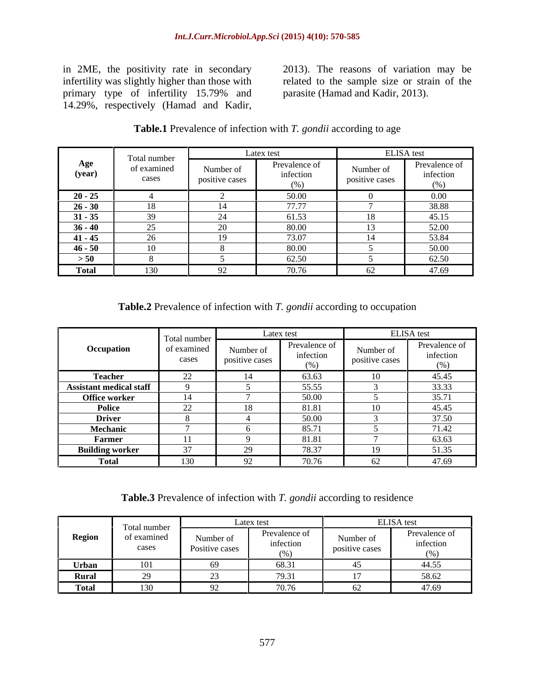primary type of infertility 15.79% and<br>14.29%, respectively (Hamad and Kadir, in 2ME, the positivity rate in secondary 2013). The reasons of variation may be<br>infertility was slightly higher than those with related to the sample size or strain of the<br>primary type of infertility 15.79% and parasite (H

in 2ME, the positivity rate in secondary 2013). The reasons of variation may be infertility was slightly higher than those with related to the sample size or strain of the infertility was slightly higher than those with related to the sample size or strain of the parasite (Hamad and Kadir, 2013).

| Total number  |                       |                                         | Latex test                          | ELISA test                  |                                    |  |
|---------------|-----------------------|-----------------------------------------|-------------------------------------|-----------------------------|------------------------------------|--|
| Age<br>(year) | of examined<br>cases  | Number of<br>$\cdots$<br>positive cases | Prevalence of<br>infection<br>(0/2) | Number of<br>positive cases | Prevalence of<br>infection<br>(% ) |  |
| $20 - 25$     |                       |                                         | 50.00                               |                             | $0.00\,$                           |  |
| $26 - 30$     | 18                    | $\sim$ $\sim$                           | 77.77<br>, , , , ,                  |                             | 38.88                              |  |
| $31 - 35$     | 20<br>- 22            |                                         | 61.53                               | 10                          | 45.15                              |  |
| $36 - 40$     | $\sim$ $\sim$<br>ت    |                                         | 80.00                               | $\sim$                      | 52.00                              |  |
| $41 - 45$     | $\sim$<br>-40         |                                         | 73.07                               | $\sim$                      | 53.84                              |  |
| $46 - 50$     | 1 <sub>0</sub><br>-10 |                                         | 80.00                               |                             | 50.00                              |  |
| > 50          |                       |                                         | 62.50                               |                             | 62.50                              |  |
| <b>Total</b>  | 130                   |                                         | $\pi$ $\pi$<br>v. / 0               |                             | 47.69                              |  |

## **Table.1** Prevalence of infection with *T. gondii* according to age

### **Table.2** Prevalence of infection with *T. gondii* according to occupation

|                                | Total                          |                                              | Latex test                        | <b>ELISA</b> test                            |                                    |  |
|--------------------------------|--------------------------------|----------------------------------------------|-----------------------------------|----------------------------------------------|------------------------------------|--|
| Occupation                     | number<br>of examined<br>cases | Number of<br>$\sim$ $\sim$<br>positive cases | Prevalence of<br>infection<br>(0/ | Number of<br>$\sim$ $\sim$<br>positive cases | Prevalence of<br>infection<br>(% ) |  |
| <b>Teacher</b>                 | $\sim$ $\sim$<br>∠∠            | 14                                           | 63.63                             |                                              | 45.45                              |  |
| <b>Assistant medical staff</b> |                                |                                              | 55.55                             |                                              | 33.33                              |  |
| Office worker                  | 4.4<br>14                      |                                              | 50.00                             |                                              | 35.71                              |  |
| Police                         | $\sim$<br>∠∠                   | 10<br>10                                     | 81.81                             | $\sim$<br>ιv                                 | 45.45                              |  |
| <b>Driver</b>                  |                                |                                              | 50.00                             |                                              | 37.50                              |  |
| Mechanic                       |                                |                                              | 85.7                              |                                              | 71.42                              |  |
| Farmer                         |                                |                                              | 81.81                             |                                              | 63.63                              |  |
| <b>Building worker</b>         | $\sim$                         |                                              | 78.37                             |                                              | 51.35                              |  |
| Total                          | 130                            |                                              | 70.76<br>70.7                     | $\sim$<br>UΖ                                 | 47.69                              |  |

**Table.3** Prevalence of infection with *T. gondii* according to residence

|              | Total number         |                             | Latex test                               | ELISA test                  |                                   |  |
|--------------|----------------------|-----------------------------|------------------------------------------|-----------------------------|-----------------------------------|--|
| Region       | of examine<br>cases  | Number of<br>Positive cases | Prevalence of<br>infection<br>$\sqrt{2}$ | Number of<br>positive cases | Prevalence of<br>infection<br>(0) |  |
| Urban        | 101                  |                             | 68.31                                    |                             | 44.55<br>.                        |  |
| <b>Rural</b> |                      |                             | 79.31                                    |                             | 58.62<br>J∪.∪∠                    |  |
| <b>Tota</b>  | $\sim$ $ -$<br>1 J J |                             | $\sim$ $\sim$<br>10.10                   | $\mathsf{u}$                | 17.60<br>– 7. J                   |  |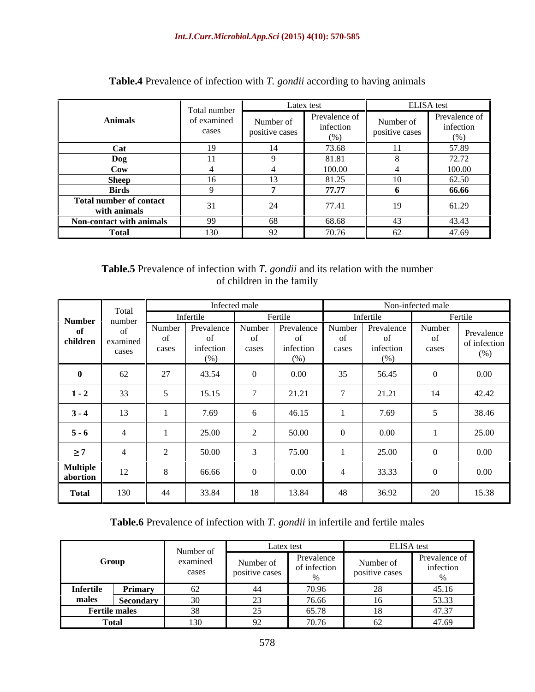|                                                | Total number         |                             | Latex test                         | ELISA test                  |                                    |  |
|------------------------------------------------|----------------------|-----------------------------|------------------------------------|-----------------------------|------------------------------------|--|
| <b>Animals</b>                                 | of examined<br>cases | Number of<br>positive cases | Prevalence of<br>infection<br>(% ) | Number of<br>positive cases | Prevalence of<br>infection<br>(96) |  |
| <b>Cat</b>                                     | $\sim$               |                             | 73.68                              |                             | 57.89                              |  |
| $\log$                                         |                      |                             | 81.81                              |                             | 72.72                              |  |
| $\bf{C}ow$                                     |                      |                             | 100.00                             |                             | 100.00                             |  |
| <b>Sheep</b>                                   | 16                   |                             | 81.25                              | 10                          | 62.50                              |  |
| <b>Birds</b>                                   |                      |                             | 77.77                              |                             | 66.66                              |  |
| <b>Total number of contact</b><br>with animals | $\sim$ $\sim$        | 24                          | 77.41                              | 19                          | 61.29                              |  |
| Non-contact with animals                       | 99                   | 68                          | 68.68                              | -43                         | 43.43                              |  |
| <b>Total</b>                                   | $\sim$<br>E30.       | 2 Z                         | 70.76                              | 62                          | 47.69                              |  |

### **Table.4** Prevalence of infection with *T. gondii* according to having animals

### **Table.5** Prevalence of infection with *T. gondii* and its relation with the number of children in the family of children in the family

|                             | Total                     |                 | Infected male                   |                 |                                         |                         |                                       | Non-infected male |                                   |
|-----------------------------|---------------------------|-----------------|---------------------------------|-----------------|-----------------------------------------|-------------------------|---------------------------------------|-------------------|-----------------------------------|
| <b>Number</b>               | number                    | Infertile       |                                 |                 | Fertile                                 |                         | Infertile                             |                   | Fertile                           |
| - of<br>children            | - of<br>examined<br>cases | Number<br>cases | Prevalence<br>infection<br>(% ) | Number<br>cases | Prevalence<br>- of<br>infection<br>(96) | Number<br>- O1<br>cases | Prevalence<br>of<br>infection<br>(96) | Number<br>cases   | Prevalence<br>of infection<br>(%) |
|                             | 62                        | 27              | 43.54                           |                 | 0.00                                    | 35                      | 56.45                                 |                   | $0.00\,$                          |
| $1 - 2$                     | $\Omega$<br>55            |                 | 15.15                           |                 | 21.21                                   |                         | 21.21                                 | 14                | 42.42                             |
| $3 - 4$                     | 13                        |                 | 7.69                            |                 | 46.15                                   |                         | 7.69                                  |                   | 38.46                             |
| $5 - 6$                     |                           |                 | 25.00                           |                 | 50.00                                   |                         | 0.00                                  |                   | 25.00                             |
| $\geq 7$                    |                           |                 | 50.00                           |                 | 75.00                                   |                         | 25.00                                 |                   | $0.00\,$                          |
| <b>Multiple</b><br>abortion | 12                        |                 | 66.66                           |                 | 0.00                                    |                         | 33.33                                 |                   | $0.00\,$                          |
| <b>Total</b>                | 130                       | 44              | 33.84                           | 18              | 13.84                                   | 48                      | 36.92                                 | 20                | 15.38                             |

### **Table.6** Prevalence of infection with *T. gondii* in infertile and fertile males

|                  |                      | Number of | Latex test                                                   |                  | <b>ELISA</b> test          |                                      |
|------------------|----------------------|-----------|--------------------------------------------------------------|------------------|----------------------------|--------------------------------------|
|                  | Group                |           |                                                              | Prevalence       | $\mathbf{X}$               | Prevalence of                        |
|                  |                      | cases     | <b>Contract Contract Contract Contract</b><br>positive cases | of infection     | $\cdots$<br>positive cases | infectior<br>the control of the con- |
|                  |                      |           |                                                              |                  |                            |                                      |
| <b>Infertile</b> | Primary<br>$\sim$    |           |                                                              |                  |                            |                                      |
| males            | <b>Seconda</b>       |           |                                                              | 76 66            |                            | 53.33                                |
|                  | <b>Fertile males</b> |           |                                                              | 65.78            |                            | 47.37                                |
|                  | <b>Total</b>         |           | $\sqrt{2}$                                                   | 70 76 I<br>10.70 |                            | 47.69                                |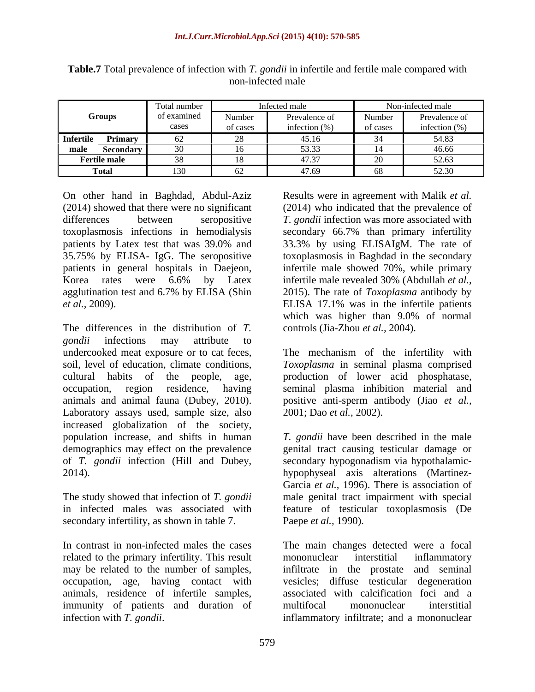| <b>Groups</b>    |                     | Total number  |          | Infected male     | Non-infected male |                  |  |
|------------------|---------------------|---------------|----------|-------------------|-------------------|------------------|--|
|                  |                     | of examined   | Number   | Prevalence of     | Number            | Prevalence of    |  |
|                  |                     | cases         | of cases | infection $(\% )$ | of cases          | infection $(\%)$ |  |
| <b>Infertile</b> | <b>Primary</b>      |               |          | 45.16             |                   | 54.83            |  |
| male             | Secondary           | $\sim$ $\sim$ | 10       | 53.33             |                   | 46.66            |  |
|                  | <b>Fertile male</b> |               | ں ⊥      | 47.37             |                   | 52.63            |  |
|                  | <b>Total</b>        | 120<br>1. JU  | ◡∸       | 47.69             |                   | 52.30            |  |

**Table.7** Total prevalence of infection with *T. gondii* in infertile and fertile male compared with non-infected male

On other hand in Baghdad, Abdul-Aziz Results were in agreement with Malik et al. (2014) showed that there were no significant (2014) who indicated that the prevalence of differences between seropositive *T. gondii* infection was more associated with toxoplasmosis infections in hemodialysis secondary 66.7% than primary infertility patients by Latex test that was 39.0% and 33.3% by using ELISAIgM. The rate of 35.75% by ELISA- IgG. The seropositive toxoplasmosis in Baghdad in the secondary patients in general hospitals in Daejeon, infertile male showed 70%, while primary Korea rates were 6.6% by Latex infertile male revealed 30% (Abdullah *et al.*, agglutination test and 6.7% by ELISA (Shin *et al.,* 2009). ELISA 17.1% was in the infertile patients

The differences in the distribution of *T. gondii* infections may attribute to undercooked meat exposure or to cat feces, The mechanism of the infertility with soil, level of education, climate conditions, *Toxoplasma* in seminal plasma comprised cultural habits of the people, age, production of lower acid phosphatase, occupation, region residence, having seminal plasma inhibition material and animals and animal fauna (Dubey, 2010). positive anti-sperm antibody (Jiao *et al.,* Laboratory assays used, sample size, also increased globalization of the society, population increase, and shifts in human *T. gondii* have been described in the male demographics may effect on the prevalence genital tract causing testicular damage or of *T. gondii* infection (Hill and Dubey, secondary hypogonadism via hypothalamic- 2014). hypophyseal axis alterations (Martinez- On other hand in Baghdad, Abdul-Aziz **Exerults were in agreement with Malik** *et al.***<br>(2014) showed that there were no significant (2014) who indicated that the prevalence of interestines were solecondary**  $T$ **, gondii infect** 

secondary infertility, as shown in table 7.

related to the primary infertility. This result mononuclear interstitial inflammatory may be related to the number of samples, infiltrate in the prostate and seminal may be related to the number of samples, occupation, age, having contact with immunity of patients and duration of multifocal mononuclear interstitial

infertile male revealed 30% (Abdullah *et al.,* 2015). The rate of *Toxoplasma* antibody by which was higher than 9.0% of normal controls (Jia-Zhou *et al.,* 2004).

2001; Dao *et al.,* 2002).

The study showed that infection of *T. gondii* male genital tract impairment with special in infected males was associated with feature of testicular toxoplasmosis (De Garcia *et al.,* 1996). There is association of Paepe *et al.,* 1990).

In contrast in non-infected males the cases The main changes detected were a focal animals, residence of infertile samples, associated with calcification foci and a mononuclear interstitial inflammatory infiltrate in the prostate vesicles; diffuse testicular degeneration multifocal mononuclear interstitial inflammatory infiltrate; and a mononuclear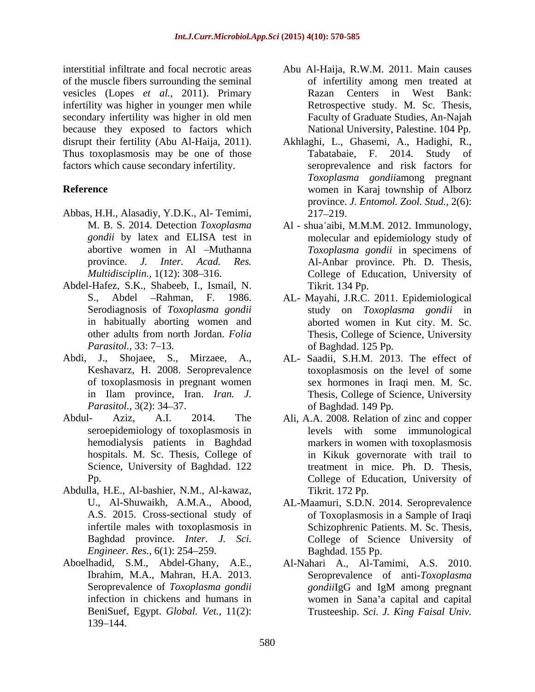interstitial infiltrate and focal necrotic areas Abu Al-Haija, R.W.M. 2011. Main causes of the muscle fibers surrounding the seminal vesicles (Lopes *et al.,* 2011). Primary infertility was higher in younger men while secondary infertility was higher in old men because they exposed to factors which disrupt their fertility (Abu Al-Haija, 2011). Akhlaghi, L., Ghasemi, A., Hadighi, R., Thus toxoplasmosis may be one of those Tabatabaie, F. 2014. Study of factors which cause secondary infertility.

- Abbas, H.H., Alasadiy, Y.D.K., Al- Temimi,
- Abdel-Hafez, S.K., Shabeeb, I., Ismail, N. in habitually aborting women and
- Abdi, J., Shojaee, S., Mirzaee, A., AL- Saadii, S.H.M. 2013. The effect of
- Science, University of Baghdad. 122
- Abdulla, H.E., Al-bashier, N.M., Al-kawaz, *Engineer. Res.,* 6(1): 254–259.
- Aboelhadid, S.M., Abdel-Ghany, A.E., 139 144.
- of infertility among men treated at Razan Centers in West Bank: Retrospective study. M. Sc. Thesis, Faculty of Graduate Studies, An-Najah National University, Palestine. 104 Pp.
- **Reference** women in Karaj township of Alborz Tabatabaie, F. 2014. Study seroprevalence and risk factors for *Toxoplasma gondii*among pregnant province. *J. Entomol. Zool. Stud.,* 2(6): 217 219.
	- M. B. S. 2014. Detection *Toxoplasma* Al shua'aibi, M.M.M. 2012. Immunology, *gondii* by latex and ELISA test in molecular and epidemiology study of abortive women in Al -Muthanna *Toxoplasma gondii* in specimens of province. *J. Inter. Acad. Res.* Al-Anbar province. Ph. D. Thesis, *Multidisciplin.*, 1(12): 308–316. College of Education, University of Tikrit. 134 Pp.
	- S., Abdel Rahman, F. 1986. AL- Mayahi, J.R.C. 2011. Epidemiological Serodiagnosis of *Toxoplasma gondii* study on *Toxoplasma gondii* in other adults from north Jordan. *Folia*  Thesis, College of Science, University *Parasitol.,* 33: 7–13. **b** of Baghdad. 125 Pp. aborted women in Kut city. M. Sc. of Baghdad. 125 Pp.
	- Keshavarz, H. 2008. Seroprevalence toxoplasmosis on the level of some of toxoplasmosis in pregnant women sex hormones in Iraqi men. M. Sc. in Ilam province, Iran. *Iran. J.* Thesis, College of Science, University *Parasitol.,* 3(2): 34–37. *Parasitol.,* 3(2): 34–37. of Baghdad. 149 Pp.
- Abdul- Aziz, A.I. 2014. The Ali, A.A. 2008. Relation of zinc and copper seroepidemiology of toxoplasmosis in levels with some immunological hemodialysis patients in Baghdad markers in women with toxoplasmosis hospitals. M. Sc. Thesis, College of in Kikuk governorate with trail to Pp. College of Education, University of treatment in mice. Ph. D. Thesis, Tikrit. 172 Pp.
	- U., Al-Shuwaikh, A.M.A., Abood, AL-Maamuri, S.D.N. 2014. Seroprevalence A.S. 2015. Cross-sectional study of of Toxoplasmosis in a Sample of Iraqi infertile males with toxoplasmosis in Schizophrenic Patients. M. Sc. Thesis, Baghdad province. *Inter. J. Sci.* College of Science University of Baghdad. 155 Pp.
	- Ibrahim, M.A., Mahran, H.A. 2013. Seroprevalence of anti-*Toxoplasma*  Seroprevalence of *Toxoplasma gondii gondii*lgG and IgM among pregnant infection in chickens and humans in women in Sana'a capital and capital BeniSuef, Egypt. *Global. Vet.,* 11(2): Trusteeship. *Sci. J. King Faisal Univ.*Al-Nahari A., Al-Tamimi, A.S. 2010. *gondii*IgG and IgM among pregnant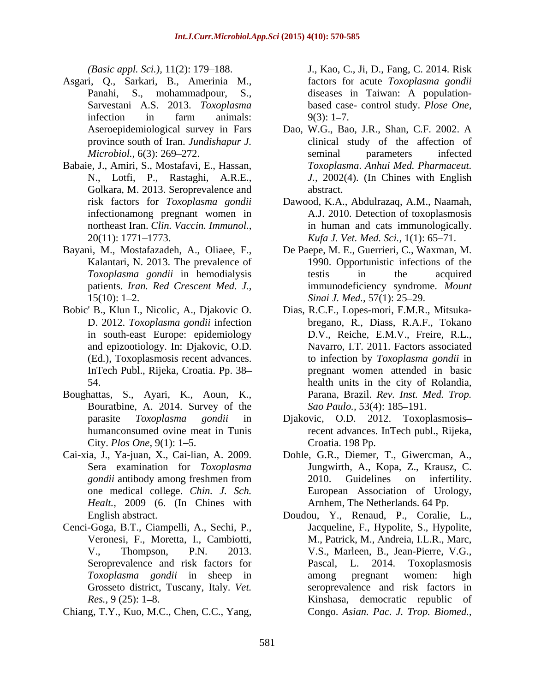- Asgari, Q., Sarkari, B., Amerinia M., Panahi, S., mohammadpour, S., diseases in Taiwan: A population-
- Babaie, J., Amiri, S., Mostafavi, E., Hassan, Golkara, M. 2013. Seroprevalence and abstract.
- 
- 
- Boughattas, S., Ayari, K., Aoun, K., Bouratbine, A. 2014. Survey of the City. *Plos One*, 9(1): 1-5.
- 
- Cenci-Goga, B.T., Ciampelli, A., Sechi, P., Grosseto district, Tuscany, Italy. *Vet.*
- Chiang, T.Y., Kuo, M.C., Chen, C.C., Yang,

*(Basic appl. Sci.),* 11(2): 179 188. J., Kao, C., Ji, D., Fang, C. 2014. Risk Sarvestani A.S. 2013. *Toxoplasma*  based case- control study. *Plose One,* infection in farm animals:  $9(3)$ : 1-7. factors for acute *Toxoplasma gondii* diseases in Taiwan: A population-  $9(3)$ : 1–7.

- Aseroepidemiological survey in Fars Dao, W.G., Bao, J.R., Shan, C.F. 2002. A province south of Iran. *Jundishapur J.* clinical study of the affection of *Microbiol.,* 6(3): 269–272. Seminal parameters infected N., Lotfi, P., Rastaghi, A.R.E., *J.,* 2002(4). (In Chines with English seminal parameters infected *Toxoplasma*. *Anhui Med. Pharmaceut.* abstract.
- risk factors for *Toxoplasma gondii* Dawood, K.A., Abdulrazaq, A.M., Naamah, infectionamong pregnant women in A.J. 2010. Detection of toxoplasmosis northeast Iran. *Clin. Vaccin. Immunol.,* in human and cats immunologically. 20(11): 1771 1773. *Kufa J. Vet. Med. Sci.,* 1(1): 65 71.
- Bayani, M., Mostafazadeh, A., Oliaee, F., De Paepe, M. E., Guerrieri, C., Waxman, M. Kalantari, N. 2013. The prevalence of 1990. Opportunistic infections of the *Toxoplasma gondii* in hemodialysis patients. *Iran. Red Crescent Med. J.,* immunodeficiency syndrome. *Mount*  15(10): 1 2. *Sinai J. Med.,* 57(1): 25 29. testis in the acquired
- Bobic' B., Klun I., Nicolic, A., Djakovic O. Dias, R.C.F., Lopes-mori, F.M.R., Mitsuka- D. 2012. *Toxoplasma gondii* infection bregano, R., Diass, R.A.F., Tokano in south-east Europe: epidemiology D.V., Reiche, E.M.V., Freire, R.L., and epizootiology. In: Djakovic, O.D. Navarro, I.T. 2011. Factors associated (Ed.), Toxoplasmosis recent advances. to infection by *Toxoplasma gondii* in InTech Publ., Rijeka, Croatia. Pp. 38 pregnant women attended in basic 54. health units in the city of Rolandia, Parana, Brazil. *Rev. Inst. Med. Trop. Sao Paulo.,* 53(4): 185–191.
	- parasite *Toxoplasma gondii* in Djakovic, O.D. 2012. Toxoplasmosis humanconsumed ovine meat in Tunis recent advances. InTech publ., Rijeka, Croatia. 198 Pp.
- Cai-xia, J., Ya-juan, X., Cai-lian, A. 2009. Dohle, G.R., Diemer, T., Giwercman, A., Sera examination for *Toxoplasma*  Jungwirth, A., Kopa, Z., Krausz, C. *gondii* antibody among freshmen from 2010. Guidelines on infertility. one medical college. *Chin. J. Sch.* European Association of Urology,<br>*Healt.*, 2009 (6. (In Chines with Arnhem, The Netherlands. 64 Pp. 2010. Guidelines on infertility. European Association of Urology, Arnhem, The Netherlands. 64 Pp.
	- English abstract. Doudou, Y., Renaud, P., Coralie, L., Veronesi, F., Moretta, I., Cambiotti, M., Patrick, M., Andreia, I.L.R., Marc, V., Thompson, P.N. 2013. V.S., Marleen, B., Jean-Pierre, V.G., Seroprevalence and risk factors for **Pascal**, L. 2014. Toxoplasmosis *Toxoplasma gondii* in sheep in *Res.*, 9 (25): 1–8. **Kinshasa**, democratic republic of Jacqueline, F., Hypolite, S., Hypolite, Pascal, L. 2014. Toxoplasmosis among pregnant women: high seroprevalence and risk factors in Congo. *Asian. Pac. J. Trop. Biomed.,*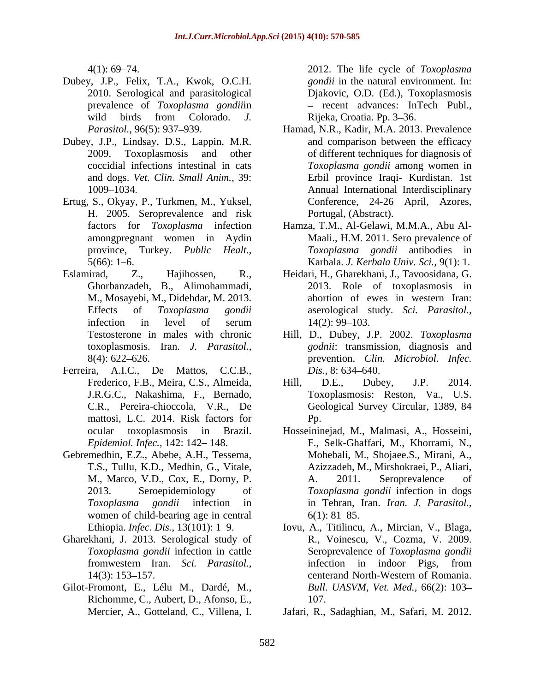- Dubey, J.P., Felix, T.A., Kwok, O.C.H.
- Dubey, J.P., Lindsay, D.S., Lappin, M.R.
- Ertug, S., Okyay, P., Turkmen, M., Yuksel, H. 2005. Seroprevalence and risk
- M., Mosayebi, M., Didehdar, M. 2013.
- Ferreira, A.I.C., De Mattos, C.C.B., *Dis.*, 8:634–640. mattosi, L.C. 2014. Risk factors for Pp.
- Gebremedhin, E.Z., Abebe, A.H., Tessema, women of child-bearing age in central  $6(1)$ : 81–85.
- Gharekhani, J. 2013. Serological study of
- Gilot-Fromont, E., Lélu M., Dardé, M., Richomme, C., Aubert, D., Afonso, E., 107.

4(1): 69 74. 2012. The life cycle of *Toxoplasma*  2010. Serological and parasitological Djakovic, O.D. (Ed.), Toxoplasmosis prevalence of *Toxoplasma gondii*in recent advances: InTech Publ., wild birds from Colorado. *J.* Rijeka, Croatia. Pp. 3–36. *gondii* in the natural environment. In: Rijeka, Croatia. Pp. 3–36.

- *Parasitol.*, 96(5): 937–939. Hamad, N.R., Kadir, M.A. 2013. Prevalence 2009. Toxoplasmosis and other of different techniques for diagnosis of coccidial infections intestinal in cats *Toxoplasma gondii* among women in and dogs. *Vet. Clin. Small Anim.,* 39: Erbil province Iraqi- Kurdistan. 1st 1009 1034. Annual International Interdisciplinary and comparison between the efficacy Conference, 24-26 April, Azores, Portugal, (Abstract).
- factors for *Toxoplasma* infection Hamza, T.M., Al-Gelawi, M.M.A., Abu Al amongpregnant women in Aydin Maali., H.M. 2011. Sero prevalence of province, Turkey. *Public Healt., Toxoplasma gondii* antibodies in 5(66): 1 6. Karbala. *J. Kerbala Univ. Sci.,* 9(1): 1.
- Eslamirad, Z., Hajihossen, R., Heidari, H., Gharekhani, J., Tavoosidana, G. Ghorbanzadeh, B., Alimohammadi, 2013. Role of toxoplasmosis in Effects of *Toxoplasma gondii* aserological study. *Sci. Parasitol.,* infection in level of serum  $14(2): 99-103$ . abortion of ewes in western Iran:  $14(2): 99-103.$ 
	- Testosterone in males with chronic Hill, D., Dubey, J.P. 2002. *Toxoplasma*  toxoplasmosis. Iran. *J. Parasitol., godnii*: transmission, diagnosis and 8(4): 622 626. prevention. *Clin. Microbiol. Infec. Dis., 8:* 634–640.
	- Frederico, F.B., Meira, C.S., Almeida, Hill, D.E., Dubey, J.P. 2014. J.R.G.C., Nakashima, F., Bernado, Toxoplasmosis: Reston, Va., U.S. C.R., Pereira-chioccola, V.R., De Geological Survey Circular, 1389, 84 Hill, D.E., Dubey, J.P. 2014. Pp.
	- ocular toxoplasmosis in Brazil. Hosseininejad, M., Malmasi, A., Hosseini, *Epidemiol. Infec.,* 142: 142 148. F., Selk-Ghaffari, M., Khorrami, N., T.S., Tullu, K.D., Medhin, G., Vitale, Azizzadeh, M., Mirshokraei, P., Aliari, M., Marco, V.D., Cox, E., Dorny, P. 2013. Seroepidemiology of *Toxoplasma gondii* infection in dogs *Toxoplasma gondii* infection in in Tehran, Iran. *Iran. J. Parasitol.,* Mohebali, M., Shojaee.S., Mirani, A., A. 2011. Seroprevalence of  $6(1)$ : 81–85.
	- Ethiopia. *Infec. Dis.*, 13(101): 1–9. Iovu, A., Titilincu, A., Mircian, V., Blaga, *Toxoplasma gondii* infection in cattle Seroprevalence of *Toxoplasma gondii* fromwestern Iran. *Sci. Parasitol.,* 14(3): 153 157. centerand North-Western of Romania. R., Voinescu, V., Cozma, V. 2009. infection in indoor Pigs, from *Bull. UASVM, Vet. Med.,* 66(2): 103 107.
	- Mercier, A., Gotteland, C., Villena, I. Jafari, R., Sadaghian, M., Safari, M. 2012.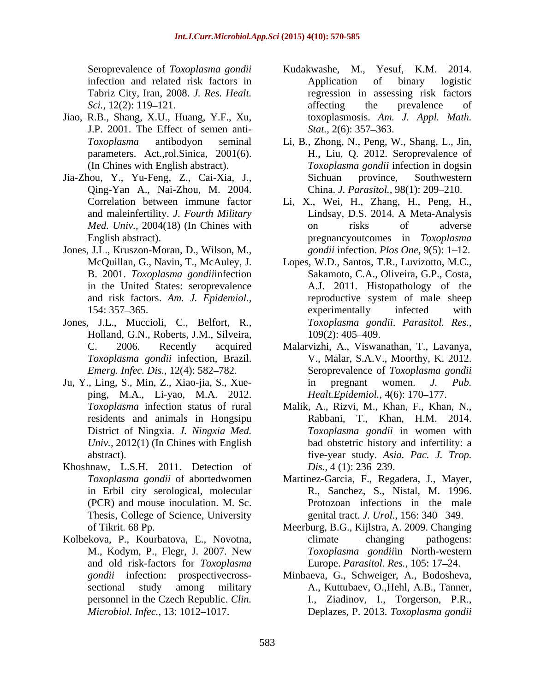- Jiao, R.B., Shang, X.U., Huang, Y.F., Xu, J.P. 2001. The Effect of semen anti-<br>Stat., 2(6): 357–363.
- 
- Jones, J.L., Kruszon-Moran, D., Wilson, M.,
- Jones, J.L., Muccioli, C., Belfort, R., Holland, G.N., Roberts, J.M., Silveira, 109(2): 405-409.
- ping, M.A., Li-yao, M.A. 2012. *Univ.,* 2012(1) (In Chines with English
- Khoshnaw, L.S.H. 2011. Detection of *Dis.*, 4 (1): 236–239. Thesis, College of Science, University
- Kolbekova, P., Kourbatova, E., Novotna, and old risk-factors for *Toxoplasma*  personnel in the Czech Republic. *Clin.*
- Seroprevalence of *Toxoplasma gondii* infection and related risk factors in Application of binary logistic Tabriz City, Iran, 2008. *J. Res. Healt.* regression in assessing risk factors *Sci.*, 12(2): 119–121. **affecting** the prevalence of Kudakwashe, M., Application of binary logistic affecting the prevalence of toxoplasmosis. *Am. J. Appl. Math. Stat.,* 2(6): 357–363.
- *Toxoplasma* antibodyon seminal Li, B., Zhong, N., Peng, W., Shang, L., Jin, parameters. Act.,rol.Sinica, 2001(6). H., Liu, Q. 2012. Seroprevalence of (In Chines with English abstract). *Toxoplasma gondii* infection in dogsin Jia-Zhou, Y., Yu-Feng, Z., Cai-Xia, J., Qing-Yan A., Nai-Zhou, M. 2004. China. *J. Parasitol.,* 98(1): 209 210. Sichuan province, Southwestern
	- Correlation between immune factor Li, X., Wei, H., Zhang, H., Peng, H., and maleinfertility. *J. Fourth Military Med. Univ.,* 2004(18) (In Chines with English abstract). pregnancyoutcomes in *Toxoplasma*  Lindsay, D.S. 2014. A Meta-Analysis on risks of adverse *gondii* infection. *Plos One*, 9(5): 1–12.
	- McQuillan, G., Navin, T., McAuley, J. Lopes, W.D., Santos, T.R., Luvizotto, M.C., B. 2001. *Toxoplasma gondii*infection Sakamoto, C.A., Oliveira, G.P., Costa, in the United States: seroprevalence A.J. 2011. Histopathology of the and risk factors. *Am. J. Epidemiol.,* reproductive system of male sheep 154: 357–365. experimentally infected with experimentally infected with *Toxoplasma gondii*. *Parasitol. Res.,* 109(2): 405 409.
- C. 2006. Recently acquired Malarvizhi, A., Viswanathan, T., Lavanya, *Toxoplasma gondii* infection, Brazil. V., Malar, S.A.V., Moorthy, K. 2012. *Emerg. Infec. Dis.,* 12(4): 582 782. Seroprevalence of *Toxoplasma gondii* Ju, Y., Ling, S., Min, Z., Xiao-jia, S., Xue in pregnant women. *J. Pub. Healt.Epidemiol.,* 4(6): 170–177.
	- *Toxoplasma* infection status of rural Malik, A., Rizvi, M., Khan, F., Khan, N., residents and animals in Hongsipu Rabbani, T., Khan, H.M. 2014. District of Ningxia. *J. Ningxia Med. Toxoplasma gondii* in women with abstract). five-year study. *Asia. Pac. J. Trop.* bad obstetric history and infertility: a *Dis.,* 4 (1): 236–239.
	- *Toxoplasma gondii* of abortedwomen Martinez-Garcia, F., Regadera, J., Mayer, in Erbil city serological, molecular R., Sanchez, S., Nistal, M. 1996. (PCR) and mouse inoculation. M. Sc. Protozoan infections in the male genital tract. *J. Urol.*, 156: 340–349.
	- of Tikrit. 68 Pp. Meerburg, B.G., Kijlstra, A. 2009. Changing M., Kodym, P., Flegr, J. 2007. New *Toxoplasma gondii*in North-western climate changing pathogens: Europe. *Parasitol. Res.,* 105: 17 24.
	- *gondii* infection: prospectivecross- Minbaeva, G., Schweiger, A., Bodosheva, sectional study among military A., Kuttubaev, O.,Hehl, A.B., Tanner, *Microbiol. Infec.,* 13: 1012 1017. Deplazes, P. 2013. *Toxoplasma gondii*I., Ziadinov, I., Torgerson, P.R.,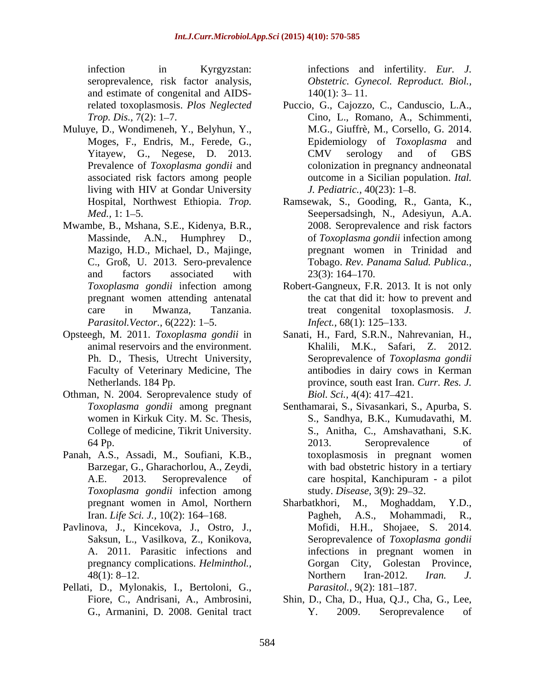and estimate of congenital and AIDS-

- Muluye, D., Wondimeneh, Y., Belyhun, Y., living with HIV at Gondar University *J. Pediatric.*, 40(23): 1–8.
- Mwambe, B., Mshana, S.E., Kidenya, B.R., *Parasitol.Vector.,* 6(222): 1–5. *Infect.,* 68(1): 125–133.
- Opsteegh, M. 2011. *Toxoplasma gondii* in Faculty of Veterinary Medicine, The
- Othman, N. 2004. Seroprevalence study of Biol. Sci., 4(4): 417–421. College of medicine, Tikrit University.
- Panah, A.S., Assadi, M., Soufiani, K.B., *Toxoplasma gondii* infection among
- Pavlinova, J., Kincekova, J., Ostro, J.,
- Pellati, D., Mylonakis, I., Bertoloni, G., Parasitol., 9(2): 181-187.

infection in Kyrgyzstan: infections and infertility. *Eur. J.* seroprevalence, risk factor analysis, *Obstetric. Gynecol. Reproduct. Biol.,*  $140(1)$ : 3-11.

- related toxoplasmosis. *Plos Neglected* Puccio, G., Cajozzo, C., Canduscio, L.A., *Trop. Dis.,* 7(2): 1–7. Cino, L., Romano, A., Schimmenti, Moges, F., Endris, M., Ferede, G., Epidemiology of *Toxoplasma* and Yitayew, G., Negese, D. 2013. CMV serology and of GBS Prevalence of *Toxoplasma gondii* and colonization in pregnancy andneonatal associated risk factors among people outcome in a Sicilian population. *Ital.*  M.G., Giuffrè, M., Corsello, G. 2014. CMV serology and of GBS *J. Pediatric.,* 40(23): 1–8.
- Hospital, Northwest Ethiopia. *Trop.*  Ramsewak, S., Gooding, R., Ganta, K., *Med.*, 1: 1–5. **Seepersadsingh, N., Adesiyun, A.A.** Massinde, A.N., Humphrey D., of *Toxoplasma gondii* infection among Mazigo, H.D., Michael, D., Majinge, pregnant women in Trinidad and C., Groß, U. 2013. Sero-prevalence Tobago. *Rev. Panama Salud. Publica.,* and factors associated with  $23(3)$ : 164–170. 2008. Seroprevalence and risk factors  $23(3)$ : 164–170.
- *Toxoplasma gondii* infection among Robert-Gangneux, F.R. 2013. It is not only pregnant women attending antenatal the cat that did it: how to prevent and care in Mwanza, Tanzania. treat congenital toxoplasmosis. *J. Infect.,* 68(1): 125–133.
- animal reservoirs and the environment. Khalili, M.K., Safari, Z. 2012. Ph. D., Thesis, Utrecht University, Seroprevalence of Toxoplasma gondii Netherlands. 184 Pp. province, south east Iran. *Curr. Res. J.* Sanati, H., Fard, S.R.N., Nahrevanian, H., Khalili, M.K., Safari, Z. 2012. Seroprevalence of *Toxoplasma gondii* antibodies in dairy cows in Kerman *Biol. Sci.,* 4(4): 417–421.
- *Toxoplasma gondii* among pregnant Senthamarai, S., Sivasankari, S., Apurba, S. women in Kirkuk City. M. Sc. Thesis, S., Sandhya, B.K., Kumudavathi, M. 64 Pp. 2013. Seroprevalence of Barzegar, G., Gharachorlou, A., Zeydi, with bad obstetric history in a tertiary A.E. 2013. Seroprevalence of care hospital, Kanchipuram - a pilot S., Anitha, C., Amshavathani, S.K. 2013. Seroprevalence of toxoplasmosis in pregnant women care hospital, Kanchipuram - a pilot study. *Disease,* 3(9): 29 32.
- pregnant women in Amol, Northern Sharbatkhori, M., Moghaddam, Y.D., Iran. *Life Sci. J.*, 10(2): 164–168. **Pagheh, A.S., Mohammadi, R.,** Saksun, L., Vasilkova, Z., Konikova, Seroprevalence of *Toxoplasma gondii* A. 2011. Parasitic infections and infections in pregnant women in pregnancy complications. *Helminthol.,*  Gorgan City, Golestan Province, 48(1): 8–12. Northern Iran-2012. Iran. J. M., Moghaddam, Pagheh, A.S., Mofidi, H.H., Shojaee, S. 2014. Northern Iran-2012. *Iran. J. Parasitol.,* 9(2): 181–187.
- Fiore, C., Andrisani, A., Ambrosini, Shin, D., Cha, D., Hua, Q.J., Cha, G., Lee, G., Armanini, D. 2008. Genital tract T. 2009. Seroprevalence of Y. 2009. Seroprevalence of